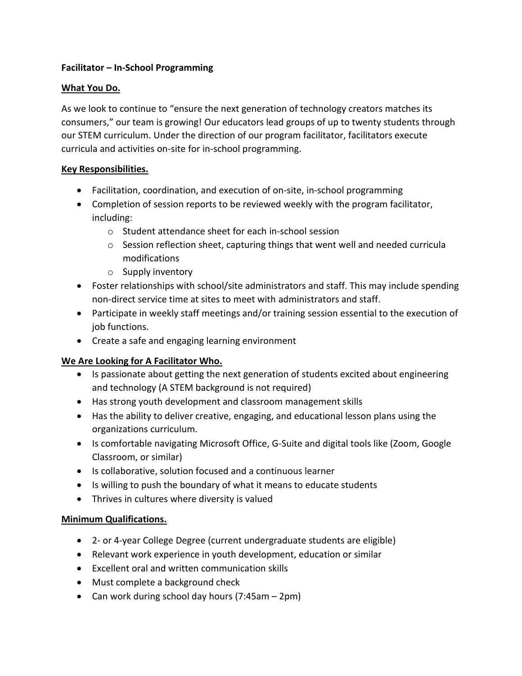### **Facilitator – In-School Programming**

## **What You Do.**

As we look to continue to "ensure the next generation of technology creators matches its consumers," our team is growing! Our educators lead groups of up to twenty students through our STEM curriculum. Under the direction of our program facilitator, facilitators execute curricula and activities on-site for in-school programming.

## **Key Responsibilities.**

- Facilitation, coordination, and execution of on-site, in-school programming
- Completion of session reports to be reviewed weekly with the program facilitator, including:
	- o Student attendance sheet for each in-school session
	- $\circ$  Session reflection sheet, capturing things that went well and needed curricula modifications
	- o Supply inventory
- Foster relationships with school/site administrators and staff. This may include spending non-direct service time at sites to meet with administrators and staff.
- Participate in weekly staff meetings and/or training session essential to the execution of job functions.
- Create a safe and engaging learning environment

# **We Are Looking for A Facilitator Who.**

- Is passionate about getting the next generation of students excited about engineering and technology (A STEM background is not required)
- Has strong youth development and classroom management skills
- Has the ability to deliver creative, engaging, and educational lesson plans using the organizations curriculum.
- Is comfortable navigating Microsoft Office, G-Suite and digital tools like (Zoom, Google Classroom, or similar)
- Is collaborative, solution focused and a continuous learner
- Is willing to push the boundary of what it means to educate students
- Thrives in cultures where diversity is valued

### **Minimum Qualifications.**

- 2- or 4-year College Degree (current undergraduate students are eligible)
- Relevant work experience in youth development, education or similar
- Excellent oral and written communication skills
- Must complete a background check
- Can work during school day hours (7:45am 2pm)